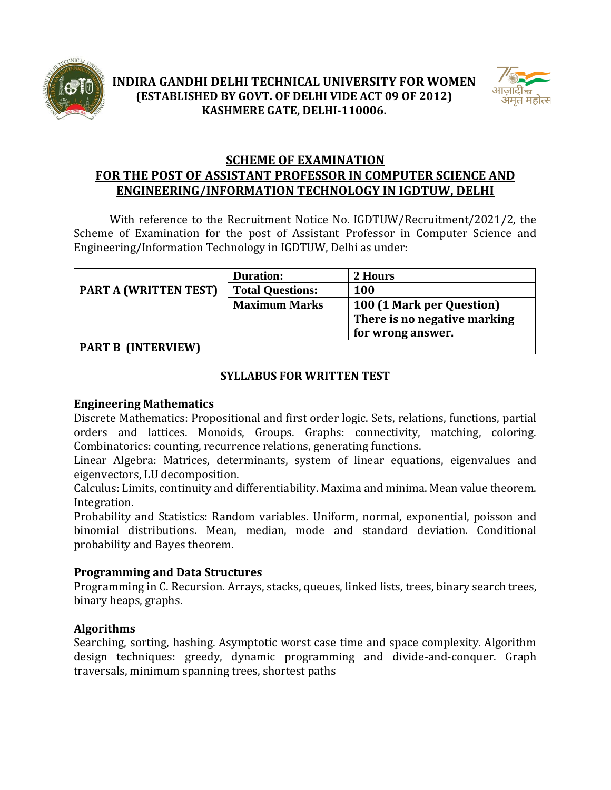



# **SCHEME OF EXAMINATION FOR THE POST OF ASSISTANT PROFESSOR IN COMPUTER SCIENCE AND ENGINEERING/INFORMATION TECHNOLOGY IN IGDTUW, DELHI**

With reference to the Recruitment Notice No. IGDTUW/Recruitment/2021/2, the Scheme of Examination for the post of Assistant Professor in Computer Science and Engineering/Information Technology in IGDTUW, Delhi as under:

|                                                                                                                                                                                                                                                                                                                                          | <b>Duration:</b>        | 2 Hours                                                                        |
|------------------------------------------------------------------------------------------------------------------------------------------------------------------------------------------------------------------------------------------------------------------------------------------------------------------------------------------|-------------------------|--------------------------------------------------------------------------------|
| <b>PART A (WRITTEN TEST)</b>                                                                                                                                                                                                                                                                                                             | <b>Total Questions:</b> | <b>100</b>                                                                     |
|                                                                                                                                                                                                                                                                                                                                          | <b>Maximum Marks</b>    | 100 (1 Mark per Question)<br>There is no negative marking<br>for wrong answer. |
| $\mathbf{A}$ $\mathbf{D}$ $\mathbf{T}$ $\mathbf{D}$ $\mathbf{A}$ $\mathbf{D}$ $\mathbf{T}$ $\mathbf{D}$ $\mathbf{A}$ $\mathbf{D}$ $\mathbf{T}$ $\mathbf{D}$ $\mathbf{A}$ $\mathbf{D}$ $\mathbf{T}$ $\mathbf{D}$ $\mathbf{A}$ $\mathbf{D}$ $\mathbf{T}$ $\mathbf{D}$ $\mathbf{A}$ $\mathbf{D}$ $\mathbf{T}$ $\mathbf{D}$ $\mathbf{A}$ $\$ |                         |                                                                                |

**PART B (INTERVIEW)**

## **SYLLABUS FOR WRITTEN TEST**

### **Engineering Mathematics**

Discrete Mathematics: Propositional and first order logic. Sets, relations, functions, partial orders and lattices. Monoids, Groups. Graphs: connectivity, matching, coloring. Combinatorics: counting, recurrence relations, generating functions.

Linear Algebra: Matrices, determinants, system of linear equations, eigenvalues and eigenvectors, LU decomposition.

Calculus: Limits, continuity and differentiability. Maxima and minima. Mean value theorem. Integration.

Probability and Statistics: Random variables. Uniform, normal, exponential, poisson and binomial distributions. Mean, median, mode and standard deviation. Conditional probability and Bayes theorem.

## **Programming and Data Structures**

Programming in C. Recursion. Arrays, stacks, queues, linked lists, trees, binary search trees, binary heaps, graphs.

## **Algorithms**

Searching, sorting, hashing. Asymptotic worst case time and space complexity. Algorithm design techniques: greedy, dynamic programming and divide-and-conquer. Graph traversals, minimum spanning trees, shortest paths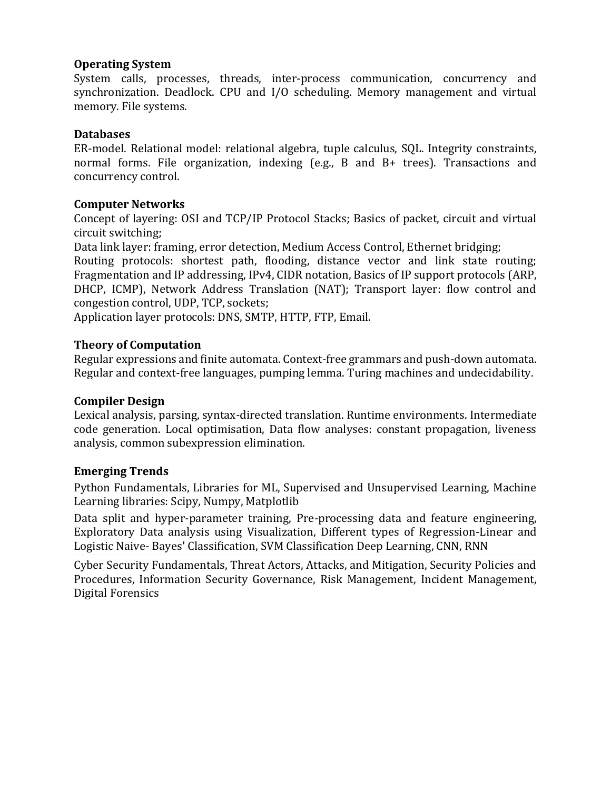#### **Operating System**

System calls, processes, threads, inter-process communication, concurrency and synchronization. Deadlock. CPU and I/O scheduling. Memory management and virtual memory. File systems.

### **Databases**

ER-model. Relational model: relational algebra, tuple calculus, SQL. Integrity constraints, normal forms. File organization, indexing (e.g., B and B+ trees). Transactions and concurrency control.

### **Computer Networks**

Concept of layering: OSI and TCP/IP Protocol Stacks; Basics of packet, circuit and virtual circuit switching;

Data link layer: framing, error detection, Medium Access Control, Ethernet bridging;

Routing protocols: shortest path, flooding, distance vector and link state routing; Fragmentation and IP addressing, IPv4, CIDR notation, Basics of IP support protocols (ARP, DHCP, ICMP), Network Address Translation (NAT); Transport layer: flow control and congestion control, UDP, TCP, sockets;

Application layer protocols: DNS, SMTP, HTTP, FTP, Email.

### **Theory of Computation**

Regular expressions and finite automata. Context-free grammars and push-down automata. Regular and context-free languages, pumping lemma. Turing machines and undecidability.

#### **Compiler Design**

Lexical analysis, parsing, syntax-directed translation. Runtime environments. Intermediate code generation. Local optimisation, Data flow analyses: constant propagation, liveness analysis, common subexpression elimination.

### **Emerging Trends**

Python Fundamentals, Libraries for ML, Supervised and Unsupervised Learning, Machine Learning libraries: Scipy, Numpy, Matplotlib

Data split and hyper-parameter training, Pre-processing data and feature engineering, Exploratory Data analysis using Visualization, Different types of Regression-Linear and Logistic Naive- Bayes' Classification, SVM Classification Deep Learning, CNN, RNN

Cyber Security Fundamentals, Threat Actors, Attacks, and Mitigation, Security Policies and Procedures, Information Security Governance, Risk Management, Incident Management, Digital Forensics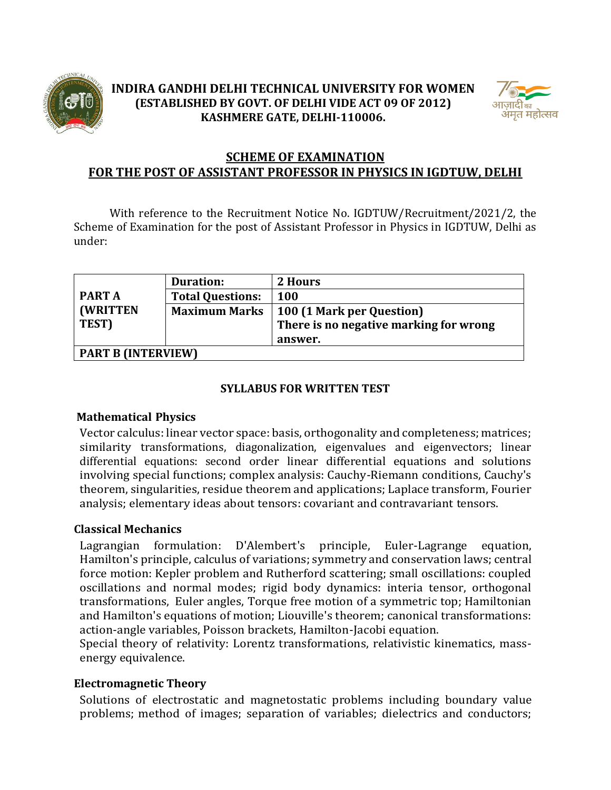

## **INDIRA GANDHI DELHI TECHNICAL UNIVERSITY FOR WOMEN (ESTABLISHED BY GOVT. OF DELHI VIDE ACT 09 OF 2012) KASHMERE GATE, DELHI-110006.**



# **SCHEME OF EXAMINATION FOR THE POST OF ASSISTANT PROFESSOR IN PHYSICS IN IGDTUW, DELHI**

With reference to the Recruitment Notice No. IGDTUW/Recruitment/2021/2, the Scheme of Examination for the post of Assistant Professor in Physics in IGDTUW, Delhi as under:

|                           | <b>Duration:</b>        | 2 Hours                                |
|---------------------------|-------------------------|----------------------------------------|
| <b>PART A</b>             | <b>Total Questions:</b> | <b>100</b>                             |
| <b>(WRITTEN)</b>          | <b>Maximum Marks</b>    | 100 (1 Mark per Question)              |
| TEST)                     |                         | There is no negative marking for wrong |
|                           |                         | answer.                                |
| <b>PART B (INTERVIEW)</b> |                         |                                        |

### **SYLLABUS FOR WRITTEN TEST**

### **Mathematical Physics**

Vector calculus: linear vector space: basis, orthogonality and completeness; matrices; similarity transformations, diagonalization, eigenvalues and eigenvectors; linear differential equations: second order linear differential equations and solutions involving special functions; complex analysis: Cauchy-Riemann conditions, Cauchy's theorem, singularities, residue theorem and applications; Laplace transform, Fourier analysis; elementary ideas about tensors: covariant and contravariant tensors.

### **Classical Mechanics**

Lagrangian formulation: D'Alembert's principle, Euler-Lagrange equation, Hamilton's principle, calculus of variations; symmetry and conservation laws; central force motion: Kepler problem and Rutherford scattering; small oscillations: coupled oscillations and normal modes; rigid body dynamics: interia tensor, orthogonal transformations, Euler angles, Torque free motion of a symmetric top; Hamiltonian and Hamilton's equations of motion; Liouville's theorem; canonical transformations: action-angle variables, Poisson brackets, Hamilton-Jacobi equation.

Special theory of relativity: Lorentz transformations, relativistic kinematics, massenergy equivalence.

## **Electromagnetic Theory**

Solutions of electrostatic and magnetostatic problems including boundary value problems; method of images; separation of variables; dielectrics and conductors;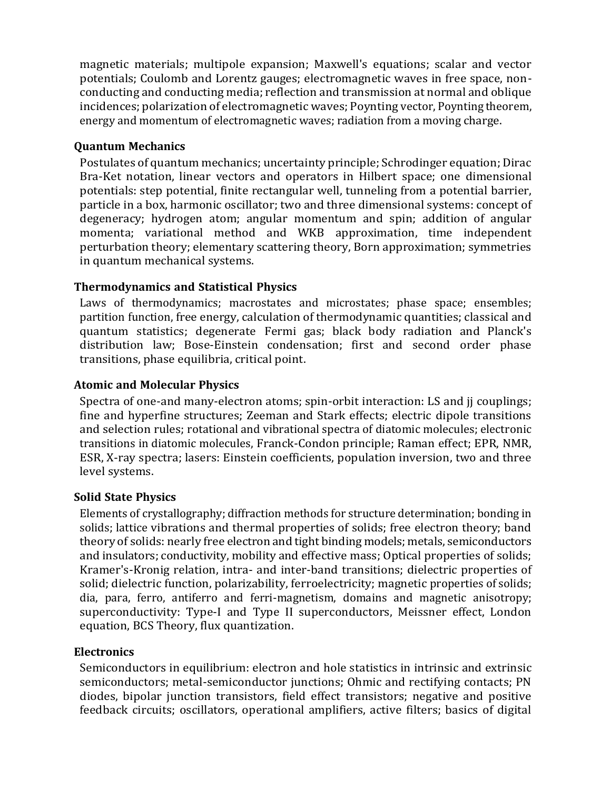magnetic materials; multipole expansion; Maxwell's equations; scalar and vector potentials; Coulomb and Lorentz gauges; electromagnetic waves in free space, nonconducting and conducting media; reflection and transmission at normal and oblique incidences; polarization of electromagnetic waves; Poynting vector, Poynting theorem, energy and momentum of electromagnetic waves; radiation from a moving charge.

### **Quantum Mechanics**

Postulates of quantum mechanics; uncertainty principle; Schrodinger equation; Dirac Bra-Ket notation, linear vectors and operators in Hilbert space; one dimensional potentials: step potential, finite rectangular well, tunneling from a potential barrier, particle in a box, harmonic oscillator; two and three dimensional systems: concept of degeneracy; hydrogen atom; angular momentum and spin; addition of angular momenta; variational method and WKB approximation, time independent perturbation theory; elementary scattering theory, Born approximation; symmetries in quantum mechanical systems.

## **Thermodynamics and Statistical Physics**

Laws of thermodynamics; macrostates and microstates; phase space; ensembles; partition function, free energy, calculation of thermodynamic quantities; classical and quantum statistics; degenerate Fermi gas; black body radiation and Planck's distribution law; Bose-Einstein condensation; first and second order phase transitions, phase equilibria, critical point.

### **Atomic and Molecular Physics**

Spectra of one-and many-electron atoms; spin-orbit interaction: LS and jj couplings; fine and hyperfine structures; Zeeman and Stark effects; electric dipole transitions and selection rules; rotational and vibrational spectra of diatomic molecules; electronic transitions in diatomic molecules, Franck-Condon principle; Raman effect; EPR, NMR, ESR, X-ray spectra; lasers: Einstein coefficients, population inversion, two and three level systems.

### **Solid State Physics**

Elements of crystallography; diffraction methods for structure determination; bonding in solids; lattice vibrations and thermal properties of solids; free electron theory; band theory of solids: nearly free electron and tight binding models; metals, semiconductors and insulators; conductivity, mobility and effective mass; Optical properties of solids; Kramer's-Kronig relation, intra- and inter-band transitions; dielectric properties of solid; dielectric function, polarizability, ferroelectricity; magnetic properties of solids; dia, para, ferro, antiferro and ferri-magnetism, domains and magnetic anisotropy; superconductivity: Type-I and Type II superconductors, Meissner effect, London equation, BCS Theory, flux quantization.

### **Electronics**

Semiconductors in equilibrium: electron and hole statistics in intrinsic and extrinsic semiconductors; metal-semiconductor junctions; Ohmic and rectifying contacts; PN diodes, bipolar junction transistors, field effect transistors; negative and positive feedback circuits; oscillators, operational amplifiers, active filters; basics of digital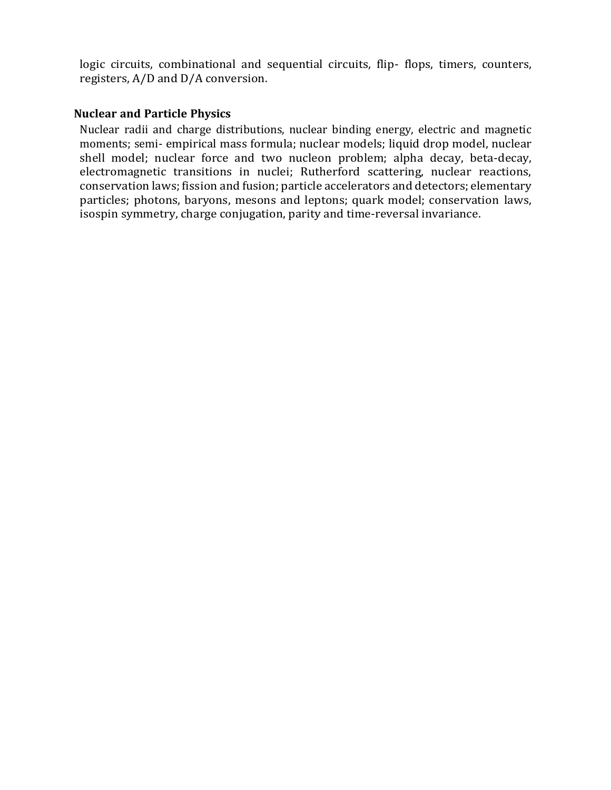logic circuits, combinational and sequential circuits, flip- flops, timers, counters, registers, A/D and D/A conversion.

#### **Nuclear and Particle Physics**

Nuclear radii and charge distributions, nuclear binding energy, electric and magnetic moments; semi- empirical mass formula; nuclear models; liquid drop model, nuclear shell model; nuclear force and two nucleon problem; alpha decay, beta-decay, electromagnetic transitions in nuclei; Rutherford scattering, nuclear reactions, conservation laws; fission and fusion; particle accelerators and detectors; elementary particles; photons, baryons, mesons and leptons; quark model; conservation laws, isospin symmetry, charge conjugation, parity and time-reversal invariance.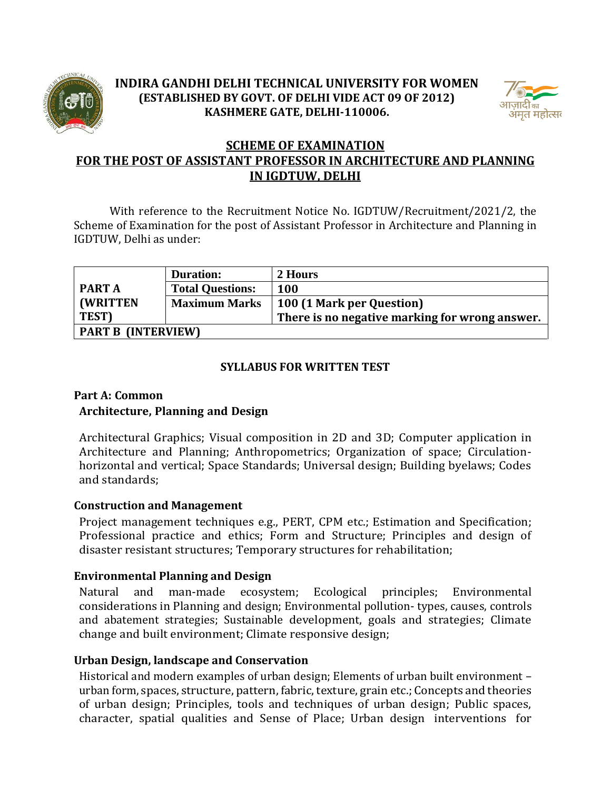

# **INDIRA GANDHI DELHI TECHNICAL UNIVERSITY FOR WOMEN (ESTABLISHED BY GOVT. OF DELHI VIDE ACT 09 OF 2012) KASHMERE GATE, DELHI-110006.**



# **SCHEME OF EXAMINATION FOR THE POST OF ASSISTANT PROFESSOR IN ARCHITECTURE AND PLANNING IN IGDTUW, DELHI**

With reference to the Recruitment Notice No. IGDTUW/Recruitment/2021/2, the Scheme of Examination for the post of Assistant Professor in Architecture and Planning in IGDTUW, Delhi as under:

|                           | <b>Duration:</b>        | 2 Hours                                        |
|---------------------------|-------------------------|------------------------------------------------|
| <b>PART A</b>             | <b>Total Questions:</b> | <b>100</b>                                     |
| <b>(WRITTEN)</b>          | <b>Maximum Marks</b>    | 100 (1 Mark per Question)                      |
| TEST)                     |                         | There is no negative marking for wrong answer. |
| <b>PART B (INTERVIEW)</b> |                         |                                                |

## **SYLLABUS FOR WRITTEN TEST**

## **Part A: Common Architecture, Planning and Design**

Architectural Graphics; Visual composition in 2D and 3D; Computer application in Architecture and Planning; Anthropometrics; Organization of space; Circulationhorizontal and vertical; Space Standards; Universal design; Building byelaws; Codes and standards;

### **Construction and Management**

Project management techniques e.g., PERT, CPM etc.; Estimation and Specification; Professional practice and ethics; Form and Structure; Principles and design of disaster resistant structures; Temporary structures for rehabilitation;

### **Environmental Planning and Design**

Natural and man-made ecosystem; Ecological principles; Environmental considerations in Planning and design; Environmental pollution- types, causes, controls and abatement strategies; Sustainable development, goals and strategies; Climate change and built environment; Climate responsive design;

### **Urban Design, landscape and Conservation**

Historical and modern examples of urban design; Elements of urban built environment – urban form, spaces, structure, pattern, fabric, texture, grain etc.; Concepts and theories of urban design; Principles, tools and techniques of urban design; Public spaces, character, spatial qualities and Sense of Place; Urban design interventions for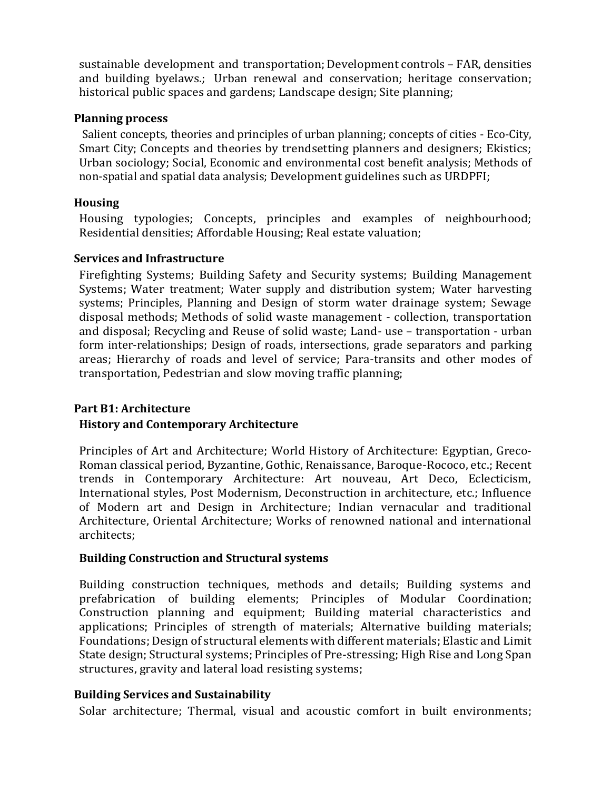sustainable development and transportation; Development controls – FAR, densities and building byelaws.; Urban renewal and conservation; heritage conservation; historical public spaces and gardens; Landscape design; Site planning;

#### **Planning process**

Salient concepts, theories and principles of urban planning; concepts of cities - Eco-City, Smart City; Concepts and theories by trendsetting planners and designers; Ekistics; Urban sociology; Social, Economic and environmental cost benefit analysis; Methods of non-spatial and spatial data analysis; Development guidelines such as URDPFI;

### **Housing**

Housing typologies; Concepts, principles and examples of neighbourhood; Residential densities; Affordable Housing; Real estate valuation;

#### **Services and Infrastructure**

Firefighting Systems; Building Safety and Security systems; Building Management Systems; Water treatment; Water supply and distribution system; Water harvesting systems; Principles, Planning and Design of storm water drainage system; Sewage disposal methods; Methods of solid waste management - collection, transportation and disposal; Recycling and Reuse of solid waste; Land- use – transportation - urban form inter-relationships; Design of roads, intersections, grade separators and parking areas; Hierarchy of roads and level of service; Para-transits and other modes of transportation, Pedestrian and slow moving traffic planning;

### **Part B1: Architecture**

### **History and Contemporary Architecture**

Principles of Art and Architecture; World History of Architecture: Egyptian, Greco-Roman classical period, Byzantine, Gothic, Renaissance, Baroque-Rococo, etc.; Recent trends in Contemporary Architecture: Art nouveau, Art Deco, Eclecticism, International styles, Post Modernism, Deconstruction in architecture, etc.; Influence of Modern art and Design in Architecture; Indian vernacular and traditional Architecture, Oriental Architecture; Works of renowned national and international architects;

#### **Building Construction and Structural systems**

Building construction techniques, methods and details; Building systems and prefabrication of building elements; Principles of Modular Coordination; Construction planning and equipment; Building material characteristics and applications; Principles of strength of materials; Alternative building materials; Foundations; Design of structural elements with different materials; Elastic and Limit State design; Structural systems; Principles of Pre-stressing; High Rise and Long Span structures, gravity and lateral load resisting systems;

### **Building Services and Sustainability**

Solar architecture; Thermal, visual and acoustic comfort in built environments;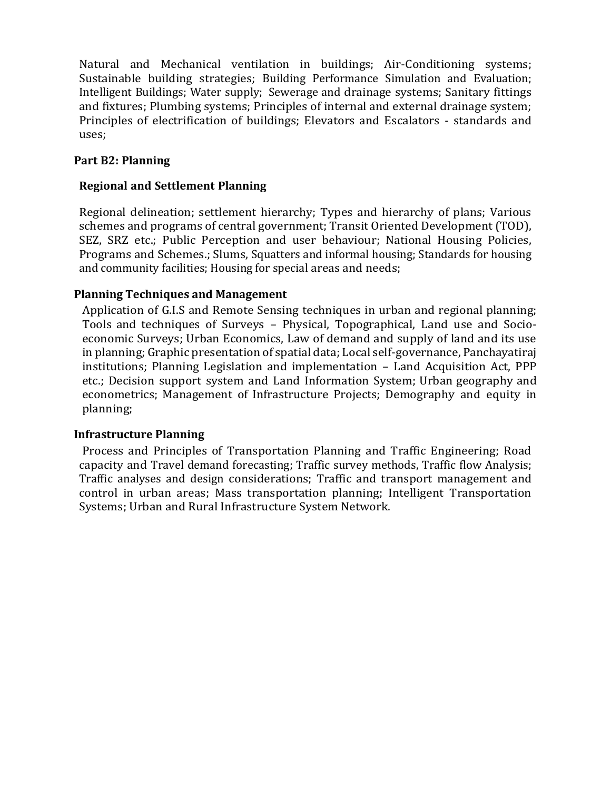Natural and Mechanical ventilation in buildings; Air-Conditioning systems; Sustainable building strategies; Building Performance Simulation and Evaluation; Intelligent Buildings; Water supply; Sewerage and drainage systems; Sanitary fittings and fixtures; Plumbing systems; Principles of internal and external drainage system; Principles of electrification of buildings; Elevators and Escalators - standards and uses;

## **Part B2: Planning**

## **Regional and Settlement Planning**

Regional delineation; settlement hierarchy; Types and hierarchy of plans; Various schemes and programs of central government; Transit Oriented Development (TOD), SEZ, SRZ etc.; Public Perception and user behaviour; National Housing Policies, Programs and Schemes.; Slums, Squatters and informal housing; Standards for housing and community facilities; Housing for special areas and needs;

### **Planning Techniques and Management**

Application of G.I.S and Remote Sensing techniques in urban and regional planning; Tools and techniques of Surveys – Physical, Topographical, Land use and Socioeconomic Surveys; Urban Economics, Law of demand and supply of land and its use in planning; Graphic presentation of spatial data; Local self-governance, Panchayatiraj institutions; Planning Legislation and implementation – Land Acquisition Act, PPP etc.; Decision support system and Land Information System; Urban geography and econometrics; Management of Infrastructure Projects; Demography and equity in planning;

### **Infrastructure Planning**

Process and Principles of Transportation Planning and Traffic Engineering; Road capacity and Travel demand forecasting; Traffic survey methods, Traffic flow Analysis; Traffic analyses and design considerations; Traffic and transport management and control in urban areas; Mass transportation planning; Intelligent Transportation Systems; Urban and Rural Infrastructure System Network.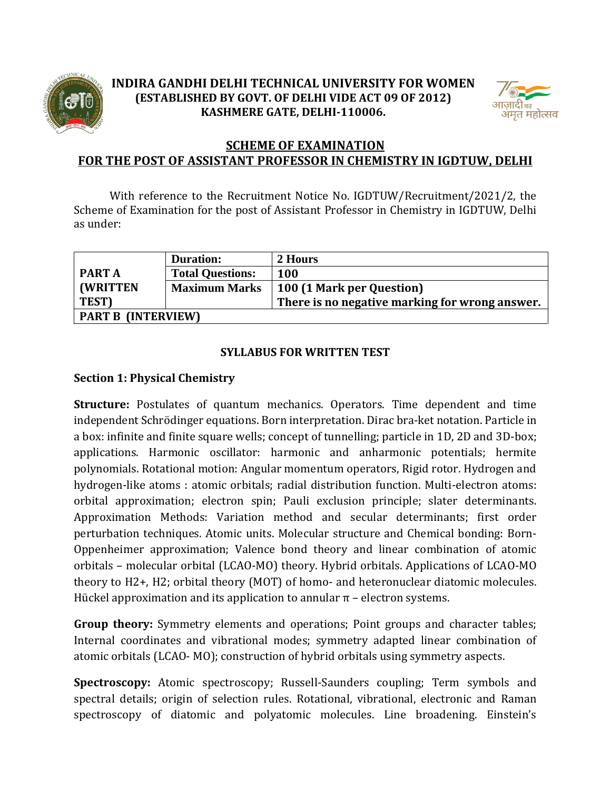

# **INDIRA GANDHI DELHI TECHNICAL UNIVERSITY FOR WOMEN (ESTABLISHED BY GOVT. OF DELHI VIDE ACT 09 OF 2012) KASHMERE GATE, DELHI-110006.**



# **SCHEME OF EXAMINATION FOR THE POST OF ASSISTANT PROFESSOR IN CHEMISTRY IN IGDTUW, DELHI**

With reference to the Recruitment Notice No. IGDTUW/Recruitment/2021/2, the Scheme of Examination for the post of Assistant Professor in Chemistry in IGDTUW, Delhi as under:

|                           | <b>Duration:</b>        | 2 Hours                                        |
|---------------------------|-------------------------|------------------------------------------------|
| <b>PART A</b>             | <b>Total Questions:</b> | <b>100</b>                                     |
| <b>(WRITTEN)</b>          | <b>Maximum Marks</b>    | 100 (1 Mark per Question)                      |
| TEST)                     |                         | There is no negative marking for wrong answer. |
| <b>PART B (INTERVIEW)</b> |                         |                                                |

### **SYLLABUS FOR WRITTEN TEST**

## **Section 1: Physical Chemistry**

**Structure:** Postulates of quantum mechanics. Operators. Time dependent and time independent Schrödinger equations. Born interpretation. Dirac bra-ket notation. Particle in a box: infinite and finite square wells; concept of tunnelling; particle in 1D, 2D and 3D-box; applications. Harmonic oscillator: harmonic and anharmonic potentials; hermite polynomials. Rotational motion: Angular momentum operators, Rigid rotor. Hydrogen and hydrogen-like atoms : atomic orbitals; radial distribution function. Multi-electron atoms: orbital approximation; electron spin; Pauli exclusion principle; slater determinants. Approximation Methods: Variation method and secular determinants; first order perturbation techniques. Atomic units. Molecular structure and Chemical bonding: Born-Oppenheimer approximation; Valence bond theory and linear combination of atomic orbitals – molecular orbital (LCAO-MO) theory. Hybrid orbitals. Applications of LCAO-MO theory to H2+, H2; orbital theory (MOT) of homo- and heteronuclear diatomic molecules. Hückel approximation and its application to annular  $\pi$  – electron systems.

**Group theory:** Symmetry elements and operations; Point groups and character tables; Internal coordinates and vibrational modes; symmetry adapted linear combination of atomic orbitals (LCAO- MO); construction of hybrid orbitals using symmetry aspects.

**Spectroscopy:** Atomic spectroscopy; Russell-Saunders coupling; Term symbols and spectral details; origin of selection rules. Rotational, vibrational, electronic and Raman spectroscopy of diatomic and polyatomic molecules. Line broadening. Einstein's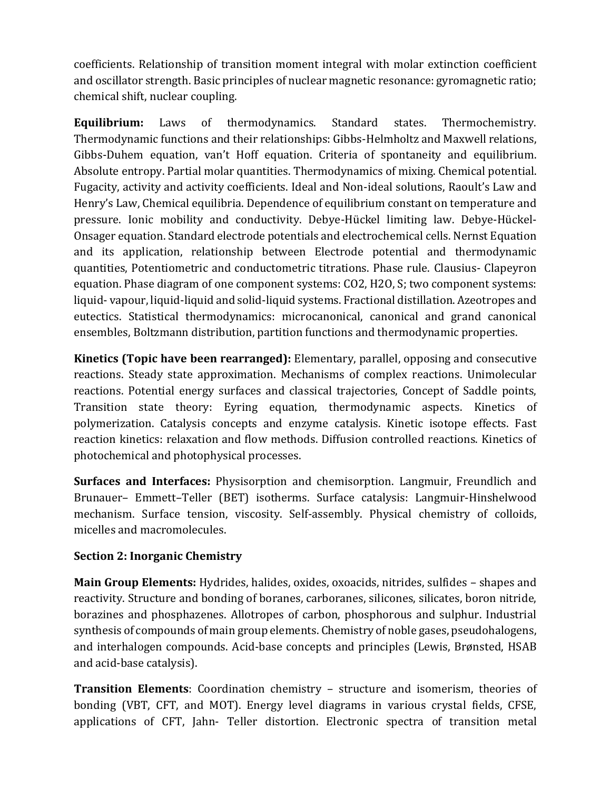coefficients. Relationship of transition moment integral with molar extinction coefficient and oscillator strength. Basic principles of nuclear magnetic resonance: gyromagnetic ratio; chemical shift, nuclear coupling.

**Equilibrium:** Laws of thermodynamics. Standard states. Thermochemistry. Thermodynamic functions and their relationships: Gibbs-Helmholtz and Maxwell relations, Gibbs-Duhem equation, van't Hoff equation. Criteria of spontaneity and equilibrium. Absolute entropy. Partial molar quantities. Thermodynamics of mixing. Chemical potential. Fugacity, activity and activity coefficients. Ideal and Non-ideal solutions, Raoult's Law and Henry's Law, Chemical equilibria. Dependence of equilibrium constant on temperature and pressure. Ionic mobility and conductivity. Debye-Hückel limiting law. Debye-Hückel-Onsager equation. Standard electrode potentials and electrochemical cells. Nernst Equation and its application, relationship between Electrode potential and thermodynamic quantities, Potentiometric and conductometric titrations. Phase rule. Clausius- Clapeyron equation. Phase diagram of one component systems: CO2, H2O, S; two component systems: liquid- vapour, liquid-liquid and solid-liquid systems. Fractional distillation. Azeotropes and eutectics. Statistical thermodynamics: microcanonical, canonical and grand canonical ensembles, Boltzmann distribution, partition functions and thermodynamic properties.

**Kinetics (Topic have been rearranged):** Elementary, parallel, opposing and consecutive reactions. Steady state approximation. Mechanisms of complex reactions. Unimolecular reactions. Potential energy surfaces and classical trajectories, Concept of Saddle points, Transition state theory: Eyring equation, thermodynamic aspects. Kinetics of polymerization. Catalysis concepts and enzyme catalysis. Kinetic isotope effects. Fast reaction kinetics: relaxation and flow methods. Diffusion controlled reactions. Kinetics of photochemical and photophysical processes.

**Surfaces and Interfaces:** Physisorption and chemisorption. Langmuir, Freundlich and Brunauer– Emmett–Teller (BET) isotherms. Surface catalysis: Langmuir-Hinshelwood mechanism. Surface tension, viscosity. Self-assembly. Physical chemistry of colloids, micelles and macromolecules.

## **Section 2: Inorganic Chemistry**

**Main Group Elements:** Hydrides, halides, oxides, oxoacids, nitrides, sulfides – shapes and reactivity. Structure and bonding of boranes, carboranes, silicones, silicates, boron nitride, borazines and phosphazenes. Allotropes of carbon, phosphorous and sulphur. Industrial synthesis of compounds of main group elements. Chemistry of noble gases, pseudohalogens, and interhalogen compounds. Acid-base concepts and principles (Lewis, Brønsted, HSAB and acid-base catalysis).

**Transition Elements**: Coordination chemistry – structure and isomerism, theories of bonding (VBT, CFT, and MOT). Energy level diagrams in various crystal fields, CFSE, applications of CFT, Jahn- Teller distortion. Electronic spectra of transition metal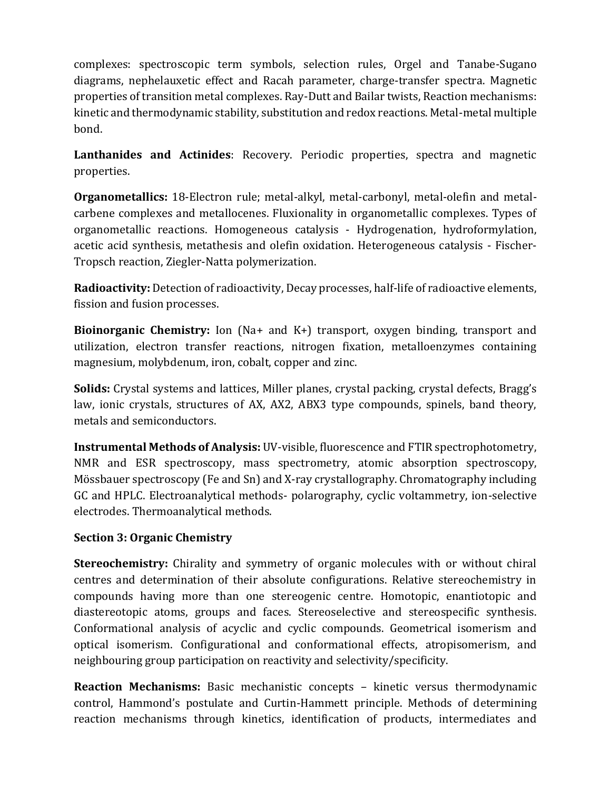complexes: spectroscopic term symbols, selection rules, Orgel and Tanabe-Sugano diagrams, nephelauxetic effect and Racah parameter, charge-transfer spectra. Magnetic properties of transition metal complexes. Ray-Dutt and Bailar twists, Reaction mechanisms: kinetic and thermodynamic stability, substitution and redox reactions. Metal-metal multiple bond.

**Lanthanides and Actinides**: Recovery. Periodic properties, spectra and magnetic properties.

**Organometallics:** 18-Electron rule; metal-alkyl, metal-carbonyl, metal-olefin and metalcarbene complexes and metallocenes. Fluxionality in organometallic complexes. Types of organometallic reactions. Homogeneous catalysis - Hydrogenation, hydroformylation, acetic acid synthesis, metathesis and olefin oxidation. Heterogeneous catalysis - Fischer-Tropsch reaction, Ziegler-Natta polymerization.

**Radioactivity:** Detection of radioactivity, Decay processes, half-life of radioactive elements, fission and fusion processes.

**Bioinorganic Chemistry:** Ion (Na+ and K+) transport, oxygen binding, transport and utilization, electron transfer reactions, nitrogen fixation, metalloenzymes containing magnesium, molybdenum, iron, cobalt, copper and zinc.

**Solids:** Crystal systems and lattices, Miller planes, crystal packing, crystal defects, Bragg's law, ionic crystals, structures of AX, AX2, ABX3 type compounds, spinels, band theory, metals and semiconductors.

**Instrumental Methods of Analysis:** UV-visible, fluorescence and FTIR spectrophotometry, NMR and ESR spectroscopy, mass spectrometry, atomic absorption spectroscopy, Mössbauer spectroscopy (Fe and Sn) and X-ray crystallography. Chromatography including GC and HPLC. Electroanalytical methods- polarography, cyclic voltammetry, ion-selective electrodes. Thermoanalytical methods.

## **Section 3: Organic Chemistry**

**Stereochemistry:** Chirality and symmetry of organic molecules with or without chiral centres and determination of their absolute configurations. Relative stereochemistry in compounds having more than one stereogenic centre. Homotopic, enantiotopic and diastereotopic atoms, groups and faces. Stereoselective and stereospecific synthesis. Conformational analysis of acyclic and cyclic compounds. Geometrical isomerism and optical isomerism. Configurational and conformational effects, atropisomerism, and neighbouring group participation on reactivity and selectivity/specificity.

**Reaction Mechanisms:** Basic mechanistic concepts – kinetic versus thermodynamic control, Hammond's postulate and Curtin-Hammett principle. Methods of determining reaction mechanisms through kinetics, identification of products, intermediates and